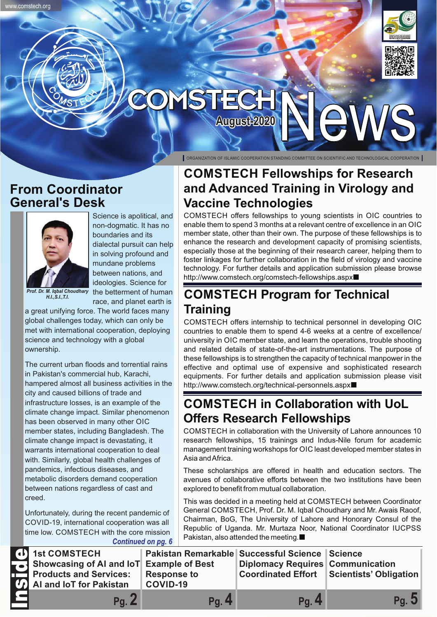



# **ISTECI August-2020**

#### ORGANIZATION OF ISLAMIC COOPERATION STANDING COMMITTEE ON SCIENTIFIC AND TECHNOLOGICAL COOPERATION

## **From Coordinator General's Desk**

www.comstech.org



*H.I.,S.I.,T.I.*

*Prof. Dr. M. Iqbal Choudhary* the betterment of human Science is apolitical, and non-dogmatic. It has no boundaries and its dialectal pursuit can help in solving profound and mundane problems between nations, and ideologies. Science for race, and planet earth is

a great unifying force. The world faces many global challenges today, which can only be met with international cooperation, deploying science and technology with a global ownership.

The current urban floods and torrential rains in Pakistan's commercial hub, Karachi, hampered almost all business activities in the city and caused billions of trade and infrastructure losses, is an example of the climate change impact. Similar phenomenon has been observed in many other OIC member states, including Bangladesh. The climate change impact is devastating, it warrants international cooperation to deal with. Similarly, global health challenges of pandemics, infectious diseases, and metabolic disorders demand cooperation between nations regardless of cast and creed.

*Continued on pg. 6* Unfortunately, during the recent pandemic of COVID-19, international cooperation was all time low. COMSTECH with the core mission

## **COMSTECH Fellowships for Research and Advanced Training in Virology and Vaccine Technologies**

COMSTECH offers fellowships to young scientists in OIC countries to enable them to spend 3 months at a relevant centre of excellence in an OIC member state, other than their own. The purpose of these fellowships is to enhance the research and development capacity of promising scientists, especially those at the beginning of their research career, helping them to foster linkages for further collaboration in the field of virology and vaccine technology. For further details and application submission please browse http://www.comstech.org/comstech-fellowships.aspx

## **COMSTECH Program for Technical Training**

COMSTECH offers internship to technical personnel in developing OIC countries to enable them to spend 4-6 weeks at a centre of excellence/ university in OIC member state, and learn the operations, trouble shooting and related details of state-of-the-art instrumentations. The purpose of these fellowships is to strengthen the capacity of technical manpower in the effective and optimal use of expensive and sophisticated research equipments. For further details and application submission please visit http://www.comstech.org/technical-personnels.aspx

## **COMSTECH in Collaboration with UoL Offers Research Fellowships**

COMSTECH in collaboration with the University of Lahore announces 10 research fellowships, 15 trainings and Indus-Nile forum for academic management training workshops for OIC least developed member states in Asia and Africa.

These scholarships are offered in health and education sectors. The avenues of collaborative efforts between the two institutions have been explored to benefit from mutual collaboration.

This was decided in a meeting held at COMSTECH between Coordinator General COMSTECH, Prof. Dr. M. Iqbal Choudhary and Mr. Awais Raoof, Chairman, BoG, The University of Lahore and Honorary Consul of the Republic of Uganda. Mr. Murtaza Noor, National Coordinator IUCPSS Pakistan, also attended the meeting.

| 4 1st COMSTECH                           | Pakistan Remarkable Successful Science Science |                                  |                                           |
|------------------------------------------|------------------------------------------------|----------------------------------|-------------------------------------------|
| Showcasing of AI and IoT Example of Best |                                                | Diplomacy Requires Communication |                                           |
| <b>Products and Services:</b>            | <b>Response to</b>                             |                                  | Coordinated Effort Scientists' Obligation |
| (1) Al and loT for Pakistan              | COVID-19                                       |                                  |                                           |
| Pa. 2                                    | Pa.4                                           | Pa. 4                            | Pg. 5                                     |
|                                          |                                                |                                  |                                           |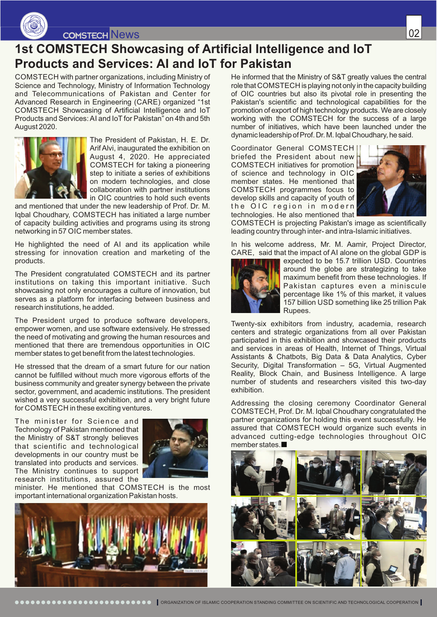

COMSTECH News

#### **1st COMSTECH Showcasing of Artificial Intelligence and IoT Products and Services: AI and IoT for Pakistan**

COMSTECH with partner organizations, including Ministry of Science and Technology, Ministry of Information Technology and Telecommunications of Pakistan and Center for Advanced Research in Engineering (CARE) organized "1st COMSTECH Showcasing of Artificial Intelligence and IoT Products and Services: AI and IoT for Pakistan" on 4th and 5th August 2020.



The President of Pakistan, H. E. Dr. Arif Alvi, inaugurated the exhibition on August 4, 2020. He appreciated COMSTECH for taking a pioneering step to initiate a series of exhibitions on modern technologies, and close collaboration with partner institutions in OIC countries to hold such events

and mentioned that under the new leadership of Prof. Dr. M. Iqbal Choudhary, COMSTECH has initiated a large number of capacity building activities and programs using its strong networking in 57 OIC member states.

He highlighted the need of AI and its application while stressing for innovation creation and marketing of the products.

The President congratulated COMSTECH and its partner institutions on taking this important initiative. Such showcasing not only encourages a culture of innovation, but serves as a platform for interfacing between business and research institutions, he added.

The President urged to produce software developers, empower women, and use software extensively. He stressed the need of motivating and growing the human resources and mentioned that there are tremendous opportunities in OIC member states to get benefit from the latest technologies.

He stressed that the dream of a smart future for our nation cannot be fulfilled without much more vigorous efforts of the business community and greater synergy between the private sector, government, and academic institutions. The president wished a very successful exhibition, and a very bright future for COMSTECH in these exciting ventures.

The minister for Science and Technology of Pakistan mentioned that the Ministry of S&T strongly believes that scientific and technological developments in our country must be translated into products and services. The Ministry continues to support research institutions, assured the



minister. He mentioned that COMSTECH is the most important international organization Pakistan hosts.



He informed that the Ministry of S&T greatly values the central role that COMSTECH is playing not only in the capacity building of OIC countries but also its pivotal role in presenting the Pakistan's scientific and technological capabilities for the promotion of export of high technology products. We are closely working with the COMSTECH for the success of a large number of initiatives, which have been launched under the dynamic leadership of Prof. Dr. M. Iqbal Choudhary, he said.

Coordinator General COMSTECH briefed the President about new COMSTECH initiatives for promotion of science and technology in OIC member states. He mentioned that COMSTECH programmes focus to develop skills and capacity of youth of the OIC region in modern technologies. He also mentioned that



COMSTECH is projecting Pakistan's image as scientifically leading country through inter- and intra-Islamic initiatives.

In his welcome address, Mr. M. Aamir, Project Director, CARE, said that the impact of AI alone on the global GDP is



expected to be 15.7 trillion USD. Countries around the globe are strategizing to take maximum benefit from these technologies. If Pakistan captures even a miniscule percentage like 1% of this market, it values 157 billion USD something like 25 trillion Pak Rupees.

Twenty-six exhibitors from industry, academia, research centers and strategic organizations from all over Pakistan participated in this exhibition and showcased their products and services in areas of Health, Internet of Things, Virtual Assistants & Chatbots, Big Data & Data Analytics, Cyber Security, Digital Transformation – 5G, Virtual Augmented Reality, Block Chain, and Business Intelligence. A large number of students and researchers visited this two-day exhibition.

Addressing the closing ceremony Coordinator General COMSTECH, Prof. Dr. M. Iqbal Choudhary congratulated the partner organizations for holding this event successfully. He assured that COMSTECH would organize such events in advanced cutting-edge technologies throughout OIC member states.

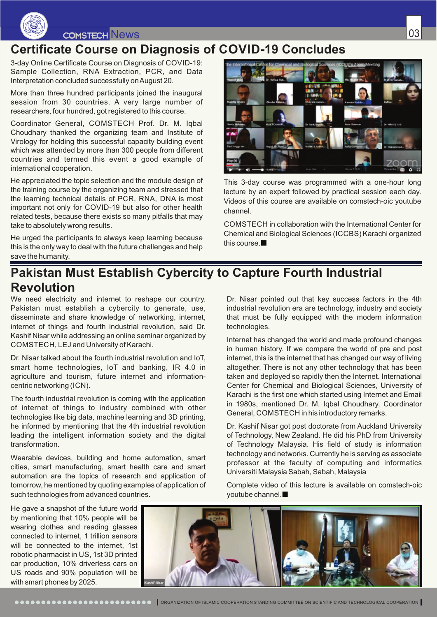

#### News 2008 and 2009 and 2009 and 2009 and 2009 and 2009 and 2009 and 2009 and 2009 and 2009 and 2009 and 2009 a

#### **Certificate Course on Diagnosis of COVID-19 Concludes**

3-day Online Certificate Course on Diagnosis of COVID-19: Sample Collection, RNA Extraction, PCR, and Data Interpretation concluded successfully on August 20.

More than three hundred participants joined the inaugural session from 30 countries. A very large number of researchers, four hundred, got registered to this course.

Coordinator General, COMSTECH Prof. Dr. M. Iqbal Choudhary thanked the organizing team and Institute of Virology for holding this successful capacity building event which was attended by more than 300 people from different countries and termed this event a good example of international cooperation.

He appreciated the topic selection and the module design of the training course by the organizing team and stressed that the learning technical details of PCR, RNA, DNA is most important not only for COVID-19 but also for other health related tests, because there exists so many pitfalls that may take to absolutely wrong results.

He urged the participants to always keep learning because this is the only way to deal with the future challenges and help save the humanity.



This 3-day course was programmed with a one-hour long lecture by an expert followed by practical session each day. Videos of this course are available on comstech-oic youtube channel.

COMSTECH in collaboration with the International Center for Chemical and Biological Sciences (ICCBS) Karachi organized this course.

## **Pakistan Must Establish Cybercity to Capture Fourth Industrial Revolution**

We need electricity and internet to reshape our country. Pakistan must establish a cybercity to generate, use, disseminate and share knowledge of networking, internet, internet of things and fourth industrial revolution, said Dr. Kashif Nisar while addressing an online seminar organized by COMSTECH, LEJand University of Karachi.

Dr. Nisar talked about the fourth industrial revolution and IoT, smart home technologies, IoT and banking, IR 4.0 in agriculture and tourism, future internet and informationcentric networking (ICN).

The fourth industrial revolution is coming with the application of internet of things to industry combined with other technologies like big data, machine learning and 3D printing, he informed by mentioning that the 4th industrial revolution leading the intelligent information society and the digital transformation.

Wearable devices, building and home automation, smart cities, smart manufacturing, smart health care and smart automation are the topics of research and application of tomorrow, he mentioned by quoting examples of application of such technologies from advanced countries.

He gave a snapshot of the future world by mentioning that 10% people will be wearing clothes and reading glasses connected to internet, 1 trillion sensors will be connected to the internet. 1st robotic pharmacist in US, 1st 3D printed car production, 10% driverless cars on US roads and 90% population will be with smart phones by 2025.

Dr. Nisar pointed out that key success factors in the 4th industrial revolution era are technology, industry and society that must be fully equipped with the modern information technologies.

Internet has changed the world and made profound changes in human history. If we compare the world of pre and post internet, this is the internet that has changed our way of living altogether. There is not any other technology that has been taken and deployed so rapidly then the Internet. International Center for Chemical and Biological Sciences, University of Karachi is the first one which started using Internet and Email in 1980s, mentioned Dr. M. Iqbal Choudhary, Coordinator General, COMSTECH in his introductory remarks.

Dr. Kashif Nisar got post doctorate from Auckland University of Technology, New Zealand. He did his PhD from University of Technology Malaysia. His field of study is information technology and networks. Currently he is serving as associate professor at the faculty of computing and informatics Universiti Malaysia Sabah, Sabah, Malaysia

Complete video of this lecture is available on comstech-oic youtube channel.

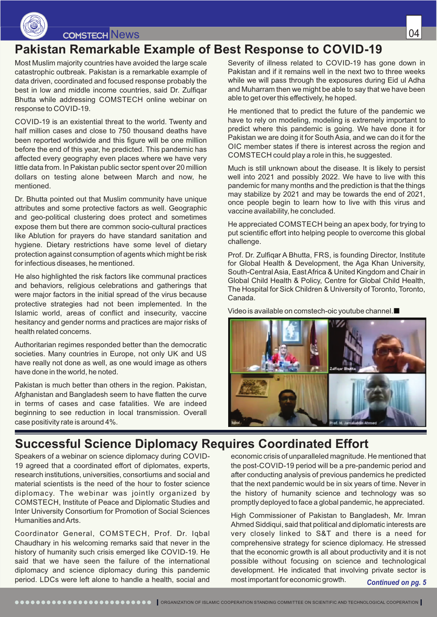

News 2004 and the contract of the contract of the contract of the contract of the contract of the contract of the contract of the contract of the contract of the contract of the contract of the contract of the contract of

#### **Pakistan Remarkable Example of Best Response to COVID-19**

Most Muslim majority countries have avoided the large scale catastrophic outbreak. Pakistan is a remarkable example of data driven, coordinated and focused response probably the best in low and middle income countries, said Dr. Zulfiqar Bhutta while addressing COMSTECH online webinar on response to COVID-19.

COVID-19 is an existential threat to the world. Twenty and half million cases and close to 750 thousand deaths have been reported worldwide and this figure will be one million before the end of this year, he predicted. This pandemic has affected every geography even places where we have very little data from. In Pakistan public sector spent over 20 million dollars on testing alone between March and now, he mentioned.

Dr. Bhutta pointed out that Muslim community have unique attributes and some protective factors as well. Geographic and geo-political clustering does protect and sometimes expose them but there are common socio-cultural practices like Ablution for prayers do have standard sanitation and hygiene. Dietary restrictions have some level of dietary protection against consumption of agents which might be risk for infectious diseases, he mentioned.

He also highlighted the risk factors like communal practices and behaviors, religious celebrations and gatherings that were major factors in the initial spread of the virus because protective strategies had not been implemented. In the Islamic world, areas of conflict and insecurity, vaccine hesitancy and gender norms and practices are major risks of health related concerns.

Authoritarian regimes responded better than the democratic societies. Many countries in Europe, not only UK and US have really not done as well, as one would image as others have done in the world, he noted.

Pakistan is much better than others in the region. Pakistan, Afghanistan and Bangladesh seem to have flatten the curve in terms of cases and case fatalities. We are indeed beginning to see reduction in local transmission. Overall case positivity rate is around 4%.

Severity of illness related to COVID-19 has gone down in Pakistan and if it remains well in the next two to three weeks while we will pass through the exposures during Eid ul Adha and Muharram then we might be able to say that we have been able to get over this effectively, he hoped.

He mentioned that to predict the future of the pandemic we have to rely on modeling, modeling is extremely important to predict where this pandemic is going. We have done it for Pakistan we are doing it for South Asia, and we can do it for the OIC member states if there is interest across the region and COMSTECH could play a role in this, he suggested.

Much is still unknown about the disease. It is likely to persist well into 2021 and possibly 2022. We have to live with this pandemic for many months and the prediction is that the things may stabilize by 2021 and may be towards the end of 2021, once people begin to learn how to live with this virus and vaccine availability, he concluded.

He appreciated COMSTECH being an apex body, for trying to put scientific effort into helping people to overcome this global challenge.

Prof. Dr. Zulfiqar A Bhutta, FRS, is founding Director, Institute for Global Health & Development, the Aga Khan University, South-Central Asia, East Africa & United Kingdom and Chair in Global Child Health & Policy, Centre for Global Child Health, The Hospital for Sick Children & University of Toronto, Toronto, Canada.

Video is available on comstech-oic youtube channel.



#### **Successful Science Diplomacy Requires Coordinated Effort**

OCOOCOOCOOCOOCOOCOOCOO | ORGANIZATION OF ISLAMIC COOPERATION STANDING COMMITTEE ON SCIENTIFIC AND TECHNOLOGICAL COOPERATION

Speakers of a webinar on science diplomacy during COVID-19 agreed that a coordinated effort of diplomates, experts, research institutions, universities, consortiums and social and material scientists is the need of the hour to foster science diplomacy. The webinar was jointly organized by COMSTECH, Institute of Peace and Diplomatic Studies and Inter University Consortium for Promotion of Social Sciences Humanities and Arts.

Coordinator General, COMSTECH, Prof. Dr. Iqbal Chaudhary in his welcoming remarks said that never in the history of humanity such crisis emerged like COVID-19. He said that we have seen the failure of the international diplomacy and science diplomacy during this pandemic period. LDCs were left alone to handle a health, social and economic crisis of unparalleled magnitude. He mentioned that the post-COVID-19 period will be a pre-pandemic period and after conducting analysis of previous pandemics he predicted that the next pandemic would be in six years of time. Never in the history of humanity science and technology was so promptly deployed to face a global pandemic, he appreciated.

High Commissioner of Pakistan to Bangladesh, Mr. Imran Ahmed Siddiqui, said that political and diplomatic interests are very closely linked to S&T and there is a need for comprehensive strategy for science diplomacy. He stressed that the economic growth is all about productivity and it is not possible without focusing on science and technological development. He indicated that involving private sector is most important for economic growth. *Continued on pg. 5*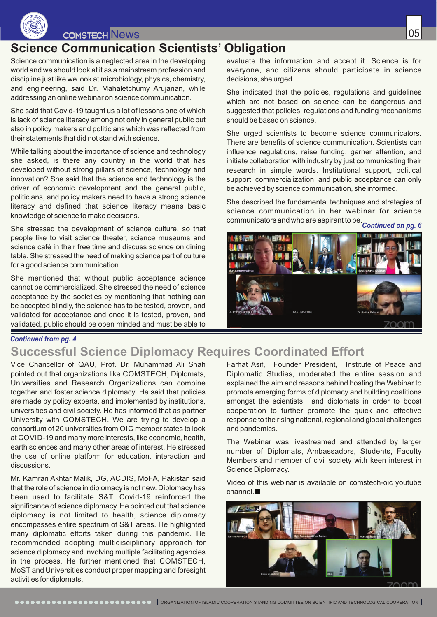

#### News 2009 and 2009 and 2009 and 2009 and 2009 and 2009 and 2009 and 2009 and 2009 and 2009 and 2009 and 2009 a

#### **Science Communication Scientists' Obligation**

Science communication is a neglected area in the developing world and we should look at it as a mainstream profession and discipline just like we look at microbiology, physics, chemistry, and engineering, said Dr. Mahaletchumy Arujanan, while addressing an online webinar on science communication.

She said that Covid-19 taught us a lot of lessons one of which is lack of science literacy among not only in general public but also in policy makers and politicians which was reflected from their statements that did not stand with science.

While talking about the importance of science and technology she asked, is there any country in the world that has developed without strong pillars of science, technology and innovation? She said that the science and technology is the driver of economic development and the general public, politicians, and policy makers need to have a strong science literacy and defined that science literacy means basic knowledge of science to make decisions.

She stressed the development of science culture, so that people like to visit science theater, science museums and science café in their free time and discuss science on dining table. She stressed the need of making science part of culture for a good science communication.

She mentioned that without public acceptance science cannot be commercialized. She stressed the need of science acceptance by the societies by mentioning that nothing can be accepted blindly, the science has to be tested, proven, and validated for acceptance and once it is tested, proven, and validated, public should be open minded and must be able to

evaluate the information and accept it. Science is for everyone, and citizens should participate in science decisions, she urged.

She indicated that the policies, regulations and guidelines which are not based on science can be dangerous and suggested that policies, regulations and funding mechanisms should be based on science.

She urged scientists to become science communicators. There are benefits of science communication. Scientists can influence regulations, raise funding, garner attention, and initiate collaboration with industry by just communicating their research in simple words. Institutional support, political support, commercialization, and public acceptance can only be achieved by science communication, she informed.

She described the fundamental techniques and strategies of science communication in her webinar for science communicators and who are aspirant to be. *Continued on pg. 6*



#### *Continued from pg. 4*

## **Successful Science Diplomacy Requires Coordinated Effort**

Vice Chancellor of QAU, Prof. Dr. Muhammad Ali Shah pointed out that organizations like COMSTECH, Diplomats, Universities and Research Organizations can combine together and foster science diplomacy. He said that policies are made by policy experts, and implemented by institutions, universities and civil society. He has informed that as partner University with COMSTECH. We are trying to develop a consortium of 20 universities from OIC member states to look at COVID-19 and many more interests, like economic, health, earth sciences and many other areas of interest. He stressed the use of online platform for education, interaction and discussions.

Mr. Kamran Akhtar Malik, DG, ACDIS, MoFA, Pakistan said that the role of science in diplomacy is not new. Diplomacy has been used to facilitate S&T. Covid-19 reinforced the significance of science diplomacy. He pointed out that science diplomacy is not limited to health, science diplomacy encompasses entire spectrum of S&T areas. He highlighted many diplomatic efforts taken during this pandemic. He recommended adopting multidisciplinary approach for science diplomacy and involving multiple facilitating agencies in the process. He further mentioned that COMSTECH, MoST and Universities conduct proper mapping and foresight activities for diplomats.

Farhat Asif, Founder President, Institute of Peace and Diplomatic Studies, moderated the entire session and explained the aim and reasons behind hosting the Webinar to promote emerging forms of diplomacy and building coalitions amongst the scientists and diplomats in order to boost cooperation to further promote the quick and effective response to the rising national, regional and global challenges and pandemics.

The Webinar was livestreamed and attended by larger number of Diplomats, Ambassadors, Students, Faculty Members and member of civil society with keen interest in Science Diplomacy.

Video of this webinar is available on comstech-oic youtube channel.